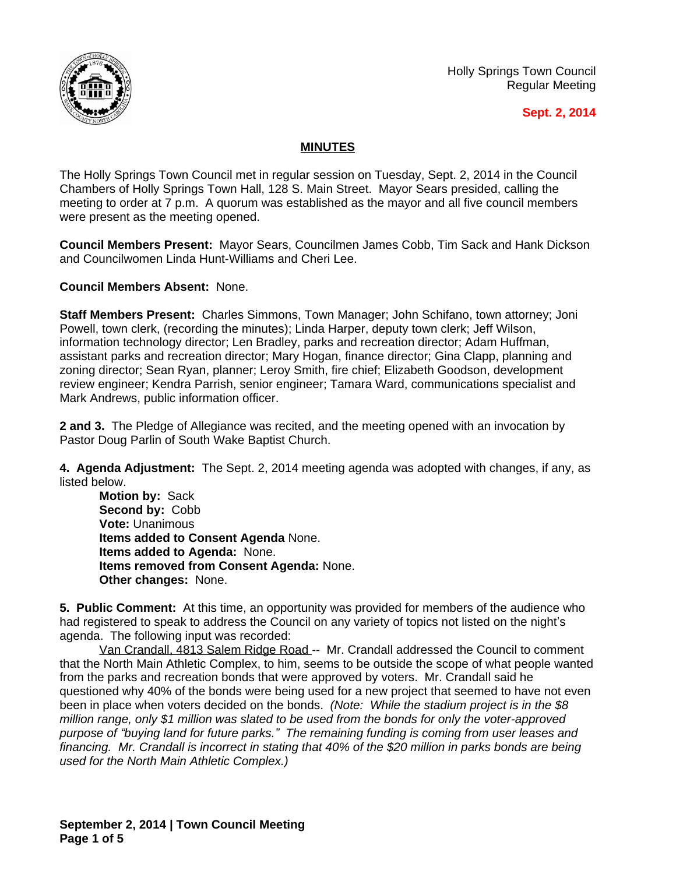

Holly Springs Town Council Regular Meeting

## **Sept. 2, 2014**

## **MINUTES**

The Holly Springs Town Council met in regular session on Tuesday, Sept. 2, 2014 in the Council Chambers of Holly Springs Town Hall, 128 S. Main Street. Mayor Sears presided, calling the meeting to order at 7 p.m. A quorum was established as the mayor and all five council members were present as the meeting opened.

**Council Members Present:** Mayor Sears, Councilmen James Cobb, Tim Sack and Hank Dickson and Councilwomen Linda Hunt-Williams and Cheri Lee.

**Council Members Absent:** None.

**Staff Members Present:** Charles Simmons, Town Manager; John Schifano, town attorney; Joni Powell, town clerk, (recording the minutes); Linda Harper, deputy town clerk; Jeff Wilson, information technology director; Len Bradley, parks and recreation director; Adam Huffman, assistant parks and recreation director; Mary Hogan, finance director; Gina Clapp, planning and zoning director; Sean Ryan, planner; Leroy Smith, fire chief; Elizabeth Goodson, development review engineer; Kendra Parrish, senior engineer; Tamara Ward, communications specialist and Mark Andrews, public information officer.

**2 and 3.** The Pledge of Allegiance was recited, and the meeting opened with an invocation by Pastor Doug Parlin of South Wake Baptist Church.

**4. Agenda Adjustment:** The Sept. 2, 2014 meeting agenda was adopted with changes, if any, as listed below.

**Motion by:** Sack **Second by:** Cobb **Vote:** Unanimous **Items added to Consent Agenda** None. **Items added to Agenda:** None. **Items removed from Consent Agenda:** None. **Other changes:** None.

**5. Public Comment:** At this time, an opportunity was provided for members of the audience who had registered to speak to address the Council on any variety of topics not listed on the night's agenda. The following input was recorded:

Van Crandall, 4813 Salem Ridge Road -- Mr. Crandall addressed the Council to comment that the North Main Athletic Complex, to him, seems to be outside the scope of what people wanted from the parks and recreation bonds that were approved by voters. Mr. Crandall said he questioned why 40% of the bonds were being used for a new project that seemed to have not even been in place when voters decided on the bonds. *(Note: While the stadium project is in the \$8 million range, only \$1 million was slated to be used from the bonds for only the voter-approved purpose of "buying land for future parks." The remaining funding is coming from user leases and financing. Mr. Crandall is incorrect in stating that 40% of the \$20 million in parks bonds are being used for the North Main Athletic Complex.)*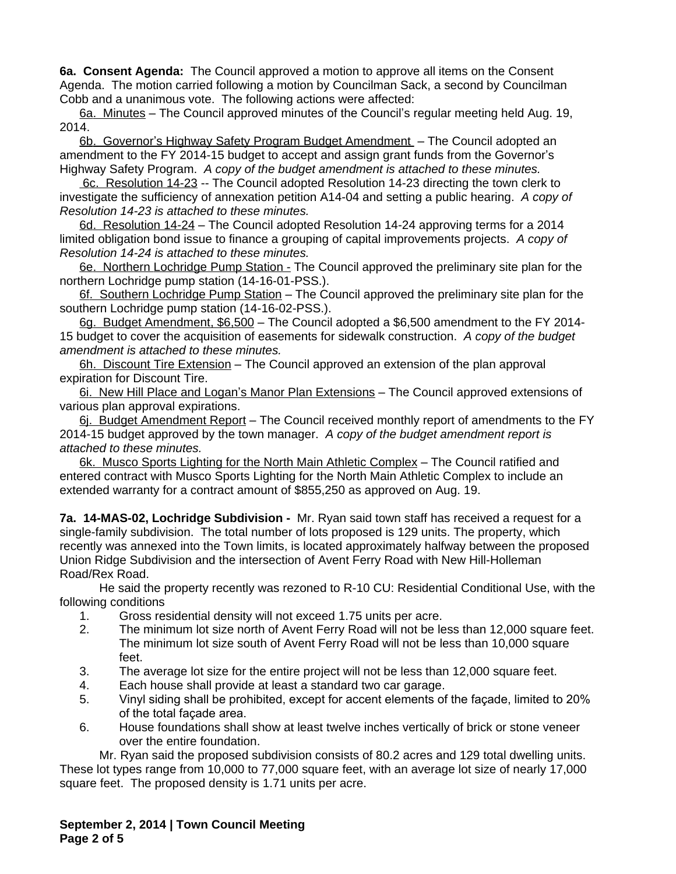**6a. Consent Agenda:** The Council approved a motion to approve all items on the Consent Agenda. The motion carried following a motion by Councilman Sack, a second by Councilman Cobb and a unanimous vote. The following actions were affected:

6a. Minutes – The Council approved minutes of the Council's regular meeting held Aug. 19, 2014.

6b. Governor's Highway Safety Program Budget Amendment – The Council adopted an amendment to the FY 2014-15 budget to accept and assign grant funds from the Governor's Highway Safety Program. *A copy of the budget amendment is attached to these minutes.*

6c. Resolution 14-23 -- The Council adopted Resolution 14-23 directing the town clerk to investigate the sufficiency of annexation petition A14-04 and setting a public hearing. *A copy of Resolution 14-23 is attached to these minutes.*

6d. Resolution 14-24 – The Council adopted Resolution 14-24 approving terms for a 2014 limited obligation bond issue to finance a grouping of capital improvements projects. *A copy of Resolution 14-24 is attached to these minutes.*

6e. Northern Lochridge Pump Station - The Council approved the preliminary site plan for the northern Lochridge pump station (14-16-01-PSS.).

6f. Southern Lochridge Pump Station – The Council approved the preliminary site plan for the southern Lochridge pump station (14-16-02-PSS.).

6g. Budget Amendment, \$6,500 – The Council adopted a \$6,500 amendment to the FY 2014- 15 budget to cover the acquisition of easements for sidewalk construction.*A copy of the budget amendment is attached to these minutes.*

6h. Discount Tire Extension – The Council approved an extension of the plan approval expiration for Discount Tire.

6i. New Hill Place and Logan's Manor Plan Extensions – The Council approved extensions of various plan approval expirations.

6j. Budget Amendment Report – The Council received monthly report of amendments to the FY 2014-15 budget approved by the town manager.*A copy of the budget amendment report is attached to these minutes.*

6k. Musco Sports Lighting for the North Main Athletic Complex – The Council ratified and entered contract with Musco Sports Lighting for the North Main Athletic Complex to include an extended warranty for a contract amount of \$855,250 as approved on Aug. 19.

**7a. 14-MAS-02, Lochridge Subdivision -** Mr. Ryan said town staff has received a request for a single-family subdivision. The total number of lots proposed is 129 units. The property, which recently was annexed into the Town limits, is located approximately halfway between the proposed Union Ridge Subdivision and the intersection of Avent Ferry Road with New Hill-Holleman Road/Rex Road.

He said the property recently was rezoned to R-10 CU: Residential Conditional Use, with the following conditions

- 1. Gross residential density will not exceed 1.75 units per acre.
- 2. The minimum lot size north of Avent Ferry Road will not be less than 12,000 square feet. The minimum lot size south of Avent Ferry Road will not be less than 10,000 square feet.
- 3. The average lot size for the entire project will not be less than 12,000 square feet.
- 4. Each house shall provide at least a standard two car garage.
- 5. Vinyl siding shall be prohibited, except for accent elements of the façade, limited to 20% of the total façade area.
- 6. House foundations shall show at least twelve inches vertically of brick or stone veneer over the entire foundation.

Mr. Ryan said the proposed subdivision consists of 80.2 acres and 129 total dwelling units. These lot types range from 10,000 to 77,000 square feet, with an average lot size of nearly 17,000 square feet. The proposed density is 1.71 units per acre.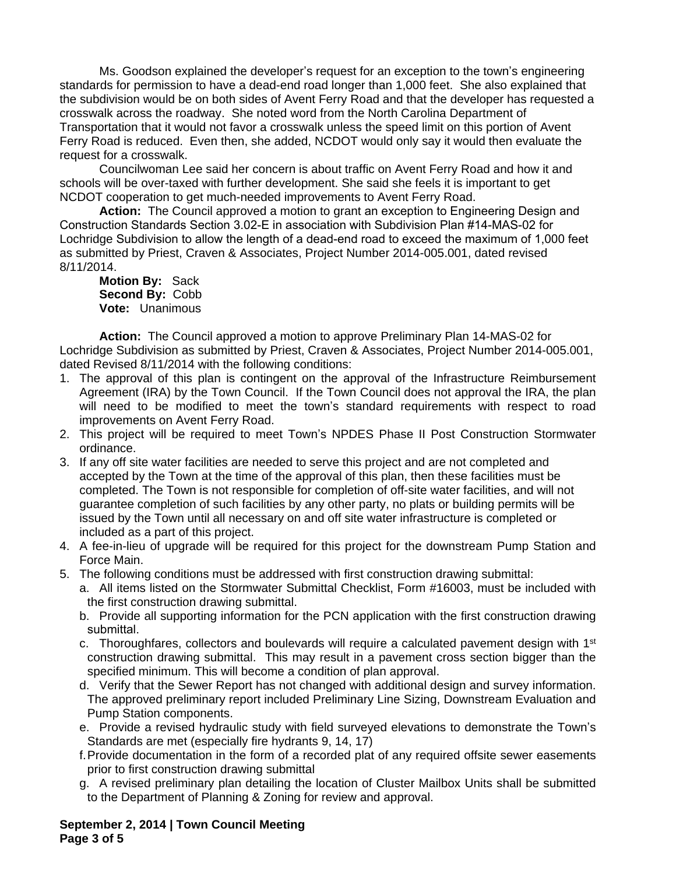Ms. Goodson explained the developer's request for an exception to the town's engineering standards for permission to have a dead-end road longer than 1,000 feet. She also explained that the subdivision would be on both sides of Avent Ferry Road and that the developer has requested a crosswalk across the roadway. She noted word from the North Carolina Department of Transportation that it would not favor a crosswalk unless the speed limit on this portion of Avent Ferry Road is reduced. Even then, she added, NCDOT would only say it would then evaluate the request for a crosswalk.

Councilwoman Lee said her concern is about traffic on Avent Ferry Road and how it and schools will be over-taxed with further development. She said she feels it is important to get NCDOT cooperation to get much-needed improvements to Avent Ferry Road.

**Action:** The Council approved a motion to grant an exception to Engineering Design and Construction Standards Section 3.02-E in association with Subdivision Plan #14-MAS-02 for Lochridge Subdivision to allow the length of a dead-end road to exceed the maximum of 1,000 feet as submitted by Priest, Craven & Associates, Project Number 2014-005.001, dated revised 8/11/2014.

**Motion By:** Sack **Second By:** Cobb **Vote:** Unanimous

**Action:** The Council approved a motion to approve Preliminary Plan 14-MAS-02 for Lochridge Subdivision as submitted by Priest, Craven & Associates, Project Number 2014-005.001, dated Revised 8/11/2014 with the following conditions:

- 1. The approval of this plan is contingent on the approval of the Infrastructure Reimbursement Agreement (IRA) by the Town Council. If the Town Council does not approval the IRA, the plan will need to be modified to meet the town's standard requirements with respect to road improvements on Avent Ferry Road.
- 2. This project will be required to meet Town's NPDES Phase II Post Construction Stormwater ordinance.
- 3. If any off site water facilities are needed to serve this project and are not completed and accepted by the Town at the time of the approval of this plan, then these facilities must be completed. The Town is not responsible for completion of off-site water facilities, and will not guarantee completion of such facilities by any other party, no plats or building permits will be issued by the Town until all necessary on and off site water infrastructure is completed or included as a part of this project.
- 4. A fee-in-lieu of upgrade will be required for this project for the downstream Pump Station and Force Main.
- 5. The following conditions must be addressed with first construction drawing submittal:
	- a. All items listed on the Stormwater Submittal Checklist, Form #16003, must be included with the first construction drawing submittal.
	- b. Provide all supporting information for the PCN application with the first construction drawing submittal.
	- c. Thoroughfares, collectors and boulevards will require a calculated pavement design with 1<sup>st</sup> construction drawing submittal. This may result in a pavement cross section bigger than the specified minimum. This will become a condition of plan approval.
	- d. Verify that the Sewer Report has not changed with additional design and survey information. The approved preliminary report included Preliminary Line Sizing, Downstream Evaluation and Pump Station components.
	- e. Provide a revised hydraulic study with field surveyed elevations to demonstrate the Town's Standards are met (especially fire hydrants 9, 14, 17)
	- f.Provide documentation in the form of a recorded plat of any required offsite sewer easements prior to first construction drawing submittal
	- g. A revised preliminary plan detailing the location of Cluster Mailbox Units shall be submitted to the Department of Planning & Zoning for review and approval.

**September 2, 2014 | Town Council Meeting Page 3 of 5**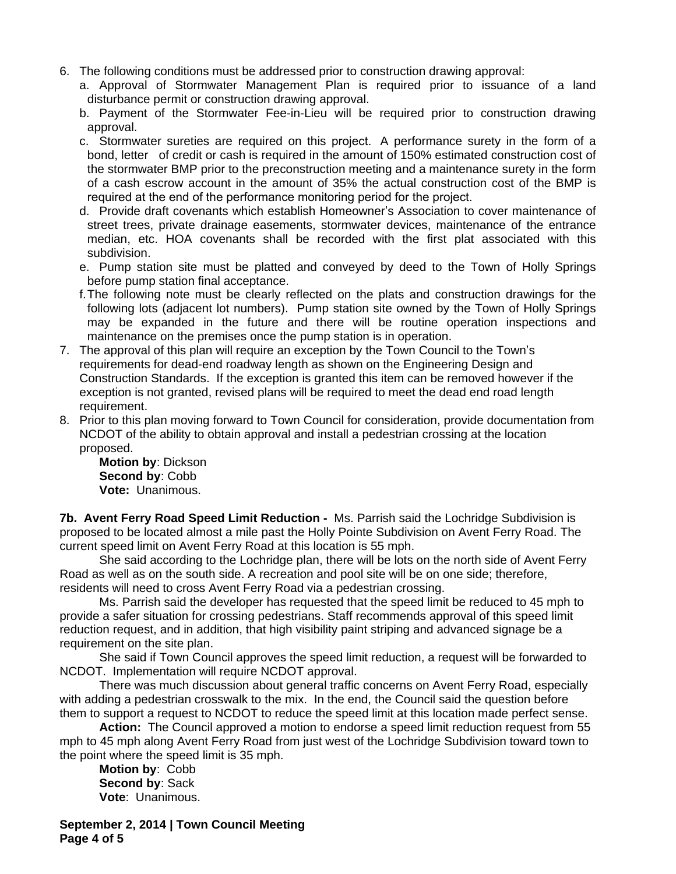- 6. The following conditions must be addressed prior to construction drawing approval:
	- a. Approval of Stormwater Management Plan is required prior to issuance of a land disturbance permit or construction drawing approval.
	- b. Payment of the Stormwater Fee-in-Lieu will be required prior to construction drawing approval.
	- c. Stormwater sureties are required on this project. A performance surety in the form of a bond, letter of credit or cash is required in the amount of 150% estimated construction cost of the stormwater BMP prior to the preconstruction meeting and a maintenance surety in the form of a cash escrow account in the amount of 35% the actual construction cost of the BMP is required at the end of the performance monitoring period for the project.
	- d. Provide draft covenants which establish Homeowner's Association to cover maintenance of street trees, private drainage easements, stormwater devices, maintenance of the entrance median, etc. HOA covenants shall be recorded with the first plat associated with this subdivision.
	- e. Pump station site must be platted and conveyed by deed to the Town of Holly Springs before pump station final acceptance.
	- f.The following note must be clearly reflected on the plats and construction drawings for the following lots (adjacent lot numbers). Pump station site owned by the Town of Holly Springs may be expanded in the future and there will be routine operation inspections and maintenance on the premises once the pump station is in operation.
- 7. The approval of this plan will require an exception by the Town Council to the Town's requirements for dead-end roadway length as shown on the Engineering Design and Construction Standards. If the exception is granted this item can be removed however if the exception is not granted, revised plans will be required to meet the dead end road length requirement.
- 8. Prior to this plan moving forward to Town Council for consideration, provide documentation from NCDOT of the ability to obtain approval and install a pedestrian crossing at the location proposed.

**Motion by**: Dickson **Second by**: Cobb **Vote:** Unanimous.

**7b. Avent Ferry Road Speed Limit Reduction -** Ms. Parrish said the Lochridge Subdivision is proposed to be located almost a mile past the Holly Pointe Subdivision on Avent Ferry Road. The current speed limit on Avent Ferry Road at this location is 55 mph.

She said according to the Lochridge plan, there will be lots on the north side of Avent Ferry Road as well as on the south side. A recreation and pool site will be on one side; therefore, residents will need to cross Avent Ferry Road via a pedestrian crossing.

Ms. Parrish said the developer has requested that the speed limit be reduced to 45 mph to provide a safer situation for crossing pedestrians. Staff recommends approval of this speed limit reduction request, and in addition, that high visibility paint striping and advanced signage be a requirement on the site plan.

She said if Town Council approves the speed limit reduction, a request will be forwarded to NCDOT. Implementation will require NCDOT approval.

There was much discussion about general traffic concerns on Avent Ferry Road, especially with adding a pedestrian crosswalk to the mix. In the end, the Council said the question before them to support a request to NCDOT to reduce the speed limit at this location made perfect sense.

**Action:** The Council approved a motion to endorse a speed limit reduction request from 55 mph to 45 mph along Avent Ferry Road from just west of the Lochridge Subdivision toward town to the point where the speed limit is 35 mph.

**Motion by**: Cobb **Second by**: Sack **Vote**: Unanimous.

**September 2, 2014 | Town Council Meeting Page 4 of 5**